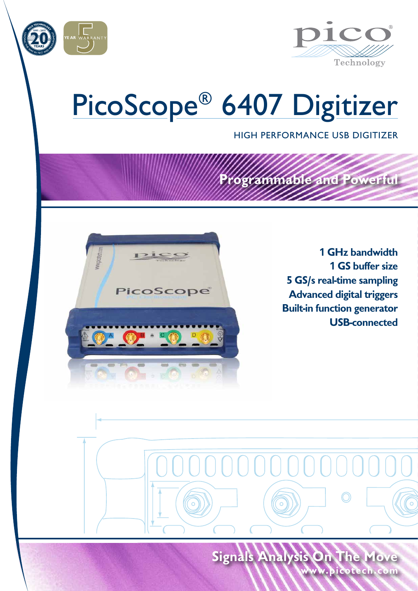



# PicoScope® 6407 Digitizer

HIGH PERFORMANCE USB DIGITIZER

**Programmable and Powerful**

# PicoScope

**1 GHz bandwidth 1 GS buffer size 5 GS/s real-time sampling Advanced digital triggers Built-in function generator USB-connected**

**www.picotech.com Signals Analysis On The Move**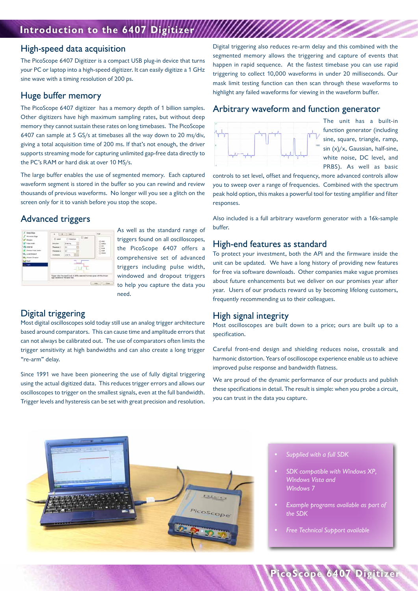## **Introduction to the 6407 Digitizer**

#### High-speed data acquisition

The PicoScope 6407 Digitizer is a compact USB plug-in device that turns your PC or laptop into a high-speed digitizer. It can easily digitize a 1 GHz sine wave with a timing resolution of 200 ps.

#### Huge buffer memory

The PicoScope 6407 digitizer has a memory depth of 1 billion samples. Other digitizers have high maximum sampling rates, but without deep memory they cannot sustain these rates on long timebases. The PicoScope 6407 can sample at 5 GS/s at timebases all the way down to 20 ms/div, giving a total acquisition time of 200 ms. If that's not enough, the driver supports streaming mode for capturing unlimited gap-free data directly to the PC's RAM or hard disk at over 10 MS/s.

The large buffer enables the use of segmented memory. Each captured waveform segment is stored in the buffer so you can rewind and review thousands of previous waveforms. No longer will you see a glitch on the screen only for it to vanish before you stop the scope.

#### Advanced triggers



As well as the standard range of triggers found on all oscilloscopes, the PicoScope 6407 offers a comprehensive set of advanced triggers including pulse width, windowed and dropout triggers to help you capture the data you need.

#### Digital triggering

Most digital oscilloscopes sold today still use an analog trigger architecture based around comparators. This can cause time and amplitude errors that can not always be calibrated out. The use of comparators often limits the trigger sensitivity at high bandwidths and can also create a long trigger "re-arm" delay.

Since 1991 we have been pioneering the use of fully digital triggering using the actual digitized data. This reduces trigger errors and allows our oscilloscopes to trigger on the smallest signals, even at the full bandwidth. Trigger levels and hysteresis can be set with great precision and resolution.

Digital triggering also reduces re-arm delay and this combined with the segmented memory allows the triggering and capture of events that happen in rapid sequence. At the fastest timebase you can use rapid triggering to collect 10,000 waveforms in under 20 milliseconds. Our mask limit testing function can then scan through these waveforms to highlight any failed waveforms for viewing in the waveform buffer.

#### Arbitrary waveform and function generator



The unit has a built-in function generator (including sine, square, triangle, ramp, sin (x)/x, Gaussian, half-sine, white noise, DC level, and PRBS). As well as basic

controls to set level, offset and frequency, more advanced controls allow you to sweep over a range of frequencies. Combined with the spectrum peak hold option, this makes a powerful tool for testing amplifier and filter responses.

Also included is a full arbitrary waveform generator with a 16k-sample buffer.

#### High-end features as standard

To protect your investment, both the API and the firmware inside the unit can be updated. We have a long history of providing new features for free via software downloads. Other companies make vague promises about future enhancements but we deliver on our promises year after year. Users of our products reward us by becoming lifelong customers, frequently recommending us to their colleagues.

#### High signal integrity

Most oscilloscopes are built down to a price; ours are built up to a specification.

Careful front-end design and shielding reduces noise, crosstalk and harmonic distortion. Years of oscilloscope experience enable us to achieve improved pulse response and bandwidth flatness.

We are proud of the dynamic performance of our products and publish these specifications in detail. The result is simple: when you probe a circuit, you can trust in the data you capture.



- *• Supplied with a full SDK*
- *• SDK compatible with Windows XP, Windows Vista and Windows 7*
- *• Example programs available as part of the SDK*

**PicoScope 6407 Digitizer**

*• Free Technical Support available*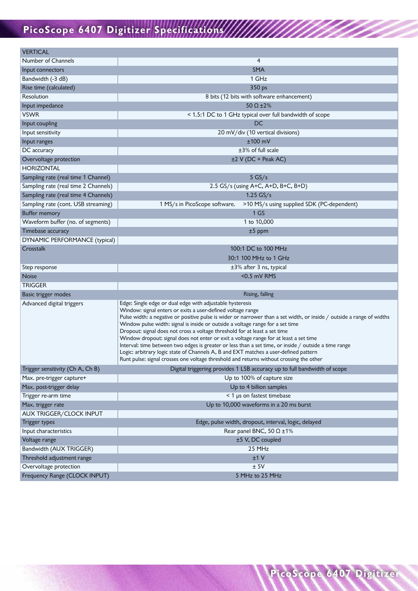# **PicoScope 6407 Digitizer Specifications**

| Number of Channels                                      | 4                                                                                                                                                                                                                                                                                                                                                                                                                                                                                                                                                                                                                                                                           |
|---------------------------------------------------------|-----------------------------------------------------------------------------------------------------------------------------------------------------------------------------------------------------------------------------------------------------------------------------------------------------------------------------------------------------------------------------------------------------------------------------------------------------------------------------------------------------------------------------------------------------------------------------------------------------------------------------------------------------------------------------|
| Input connectors                                        | <b>SMA</b>                                                                                                                                                                                                                                                                                                                                                                                                                                                                                                                                                                                                                                                                  |
| Bandwidth (-3 dB)                                       | 1 GHz                                                                                                                                                                                                                                                                                                                                                                                                                                                                                                                                                                                                                                                                       |
| Rise time (calculated)                                  | 350 ps                                                                                                                                                                                                                                                                                                                                                                                                                                                                                                                                                                                                                                                                      |
| Resolution                                              | 8 bits (12 bits with software enhancement)                                                                                                                                                                                                                                                                                                                                                                                                                                                                                                                                                                                                                                  |
| Input impedance                                         | 50 $\Omega$ ±2%                                                                                                                                                                                                                                                                                                                                                                                                                                                                                                                                                                                                                                                             |
| <b>VSWR</b>                                             | < 1.5:1 DC to 1 GHz typical over full bandwidth of scope                                                                                                                                                                                                                                                                                                                                                                                                                                                                                                                                                                                                                    |
| Input coupling                                          | DC                                                                                                                                                                                                                                                                                                                                                                                                                                                                                                                                                                                                                                                                          |
| Input sensitivity                                       | 20 mV/div (10 vertical divisions)                                                                                                                                                                                                                                                                                                                                                                                                                                                                                                                                                                                                                                           |
| Input ranges                                            | $±100$ mV                                                                                                                                                                                                                                                                                                                                                                                                                                                                                                                                                                                                                                                                   |
| DC accuracy                                             | $±3\%$ of full scale                                                                                                                                                                                                                                                                                                                                                                                                                                                                                                                                                                                                                                                        |
| Overvoltage protection                                  | ±2 V (DC + Peak AC)                                                                                                                                                                                                                                                                                                                                                                                                                                                                                                                                                                                                                                                         |
| <b>HORIZONTAL</b>                                       |                                                                                                                                                                                                                                                                                                                                                                                                                                                                                                                                                                                                                                                                             |
| Sampling rate (real time 1 Channel)                     | $5$ GS/s                                                                                                                                                                                                                                                                                                                                                                                                                                                                                                                                                                                                                                                                    |
| Sampling rate (real time 2 Channels)                    | 2.5 GS/s (using A+C, A+D, B+C, B+D)                                                                                                                                                                                                                                                                                                                                                                                                                                                                                                                                                                                                                                         |
| Sampling rate (real time 4 Channels)                    | $1.25$ GS/s                                                                                                                                                                                                                                                                                                                                                                                                                                                                                                                                                                                                                                                                 |
| Sampling rate (cont. USB streaming)                     | >10 MS/s using supplied SDK (PC-dependent)<br>1 MS/s in PicoScope software.                                                                                                                                                                                                                                                                                                                                                                                                                                                                                                                                                                                                 |
| <b>Buffer memory</b>                                    | 1 <sub>G</sub>                                                                                                                                                                                                                                                                                                                                                                                                                                                                                                                                                                                                                                                              |
| Waveform buffer (no. of segments)                       | 1 to 10,000                                                                                                                                                                                                                                                                                                                                                                                                                                                                                                                                                                                                                                                                 |
| Timebase accuracy                                       | $±5$ ppm                                                                                                                                                                                                                                                                                                                                                                                                                                                                                                                                                                                                                                                                    |
| DYNAMIC PERFORMANCE (typical)                           |                                                                                                                                                                                                                                                                                                                                                                                                                                                                                                                                                                                                                                                                             |
| Crosstalk                                               | 100:1 DC to 100 MHz                                                                                                                                                                                                                                                                                                                                                                                                                                                                                                                                                                                                                                                         |
|                                                         | 30:1 100 MHz to 1 GHz                                                                                                                                                                                                                                                                                                                                                                                                                                                                                                                                                                                                                                                       |
| Step response                                           | $\pm$ 3% after 3 ns, typical                                                                                                                                                                                                                                                                                                                                                                                                                                                                                                                                                                                                                                                |
| Noise                                                   | <0.5 mV RMS                                                                                                                                                                                                                                                                                                                                                                                                                                                                                                                                                                                                                                                                 |
| <b>TRIGGER</b>                                          |                                                                                                                                                                                                                                                                                                                                                                                                                                                                                                                                                                                                                                                                             |
| Basic trigger modes                                     | Rising, falling                                                                                                                                                                                                                                                                                                                                                                                                                                                                                                                                                                                                                                                             |
| Advanced digital triggers                               | Edge: Single edge or dual edge with adjustable hysteresis<br>Window: signal enters or exits a user-defined voltage range                                                                                                                                                                                                                                                                                                                                                                                                                                                                                                                                                    |
|                                                         | Pulse width: a negative or positive pulse is wider or narrower than a set width, or inside / outside a range of widths<br>Window pulse width: signal is inside or outside a voltage range for a set time<br>Dropout: signal does not cross a voltage threshold for at least a set time<br>Window dropout: signal does not enter or exit a voltage range for at least a set time<br>Interval: time between two edges is greater or less than a set time, or inside / outside a time range<br>Logic: arbitrary logic state of Channels A, B and EXT matches a user-defined pattern<br>Runt pulse: signal crosses one voltage threshold and returns without crossing the other |
| Trigger sensitivity (Ch A, Ch B)                        | Digital triggering provides 1 LSB accuracy up to full bandwidth of scope                                                                                                                                                                                                                                                                                                                                                                                                                                                                                                                                                                                                    |
| Max. pre-trigger capture+                               | Up to 100% of capture size                                                                                                                                                                                                                                                                                                                                                                                                                                                                                                                                                                                                                                                  |
| Max. post-trigger delay                                 | Up to 4 billion samples                                                                                                                                                                                                                                                                                                                                                                                                                                                                                                                                                                                                                                                     |
| Trigger re-arm time                                     | < 1 µs on fastest timebase                                                                                                                                                                                                                                                                                                                                                                                                                                                                                                                                                                                                                                                  |
| Max. trigger rate                                       | Up to 10,000 waveforms in a 20 ms burst                                                                                                                                                                                                                                                                                                                                                                                                                                                                                                                                                                                                                                     |
| AUX TRIGGER/CLOCK INPUT                                 |                                                                                                                                                                                                                                                                                                                                                                                                                                                                                                                                                                                                                                                                             |
| Trigger types                                           | Edge, pulse width, dropout, interval, logic, delayed                                                                                                                                                                                                                                                                                                                                                                                                                                                                                                                                                                                                                        |
| Input characteristics                                   | Rear panel BNC, $50 \Omega \pm 1\%$                                                                                                                                                                                                                                                                                                                                                                                                                                                                                                                                                                                                                                         |
| Voltage range                                           | ±5 V, DC coupled                                                                                                                                                                                                                                                                                                                                                                                                                                                                                                                                                                                                                                                            |
| Bandwidth (AUX TRIGGER)                                 | 25 MHz                                                                                                                                                                                                                                                                                                                                                                                                                                                                                                                                                                                                                                                                      |
| Threshold adjustment range                              | ±1 V                                                                                                                                                                                                                                                                                                                                                                                                                                                                                                                                                                                                                                                                        |
| Overvoltage protection<br>Frequency Range (CLOCK INPUT) | ±5V<br>5 MHz to 25 MHz                                                                                                                                                                                                                                                                                                                                                                                                                                                                                                                                                                                                                                                      |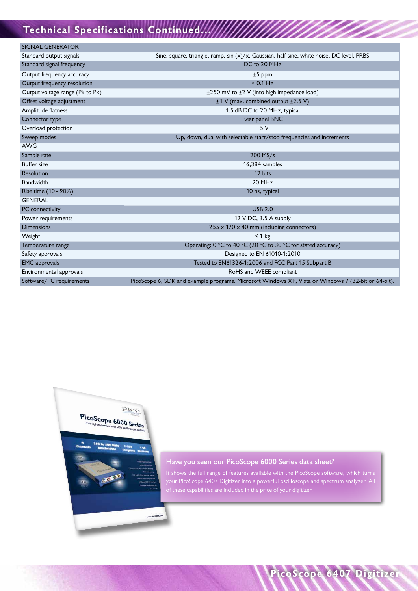# **Technical Specifications Continued...**

| <b>SIGNAL GENERATOR</b>         |                                                                                                     |
|---------------------------------|-----------------------------------------------------------------------------------------------------|
| Standard output signals         | Sine, square, triangle, ramp, sin $(x)/x$ , Gaussian, half-sine, white noise, DC level, PRBS        |
| Standard signal frequency       | DC to 20 MHz                                                                                        |
|                                 |                                                                                                     |
| Output frequency accuracy       | $±5$ ppm                                                                                            |
| Output frequency resolution     | $< 0.1$ Hz                                                                                          |
| Output voltage range (Pk to Pk) | $\pm$ 250 mV to $\pm$ 2 V (into high impedance load)                                                |
| Offset voltage adjustment       | ±1 V (max. combined output ±2.5 V)                                                                  |
| Amplitude flatness              | 1.5 dB DC to 20 MHz, typical                                                                        |
| Connector type                  | Rear panel BNC                                                                                      |
| Overload protection             | ±5V                                                                                                 |
| Sweep modes                     | Up, down, dual with selectable start/stop frequencies and increments                                |
| <b>AWG</b>                      |                                                                                                     |
| Sample rate                     | 200 MS/s                                                                                            |
| <b>Buffer size</b>              | 16,384 samples                                                                                      |
| <b>Resolution</b>               | 12 bits                                                                                             |
| Bandwidth                       | 20 MHz                                                                                              |
| Rise time (10 - 90%)            | 10 ns, typical                                                                                      |
| <b>GENERAL</b>                  |                                                                                                     |
| PC connectivity                 | <b>USB 2.0</b>                                                                                      |
| Power requirements              | 12 V DC, 3.5 A supply                                                                               |
| <b>Dimensions</b>               | $255 \times 170 \times 40$ mm (including connectors)                                                |
| Weight                          | $< 1$ kg                                                                                            |
| Temperature range               | Operating: 0 °C to 40 °C (20 °C to 30 °C for stated accuracy)                                       |
| Safety approvals                | Designed to EN 61010-1:2010                                                                         |
| <b>EMC</b> approvals            | Tested to EN61326-1:2006 and FCC Part 15 Subpart B                                                  |
| Environmental approvals         | RoHS and WEEE compliant                                                                             |
| Software/PC requirements        | PicoScope 6, SDK and example programs. Microsoft Windows XP, Vista or Windows 7 (32-bit or 64-bit). |



#### Have you seen our PicoScope 6000 Series data sheet?

It shows the full range of features available with the PicoScope software, which turns your PicoScope 6407 Digitizer into a powerful oscilloscope and spectrum analyzer. All of these capabilities are included in the price of your digitizer.

**PicoScope 6407 Digitizer**